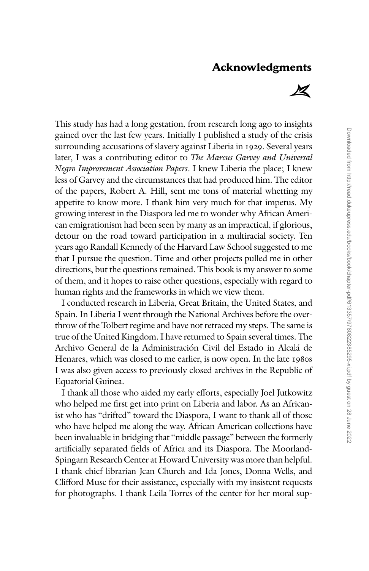## **Acknowledgments**



This study has had a long gestation, from research long ago to insights gained over the last few years. Initially I published a study of the crisis surrounding accusations of slavery against Liberia in 1929. Several years later, I was a contributing editor to *The Marcus Garvey and Universal Negro Improvement Association Papers*. I knew Liberia the place; I knew less of Garvey and the circumstances that had produced him. The editor of the papers, Robert A. Hill, sent me tons of material whetting my appetite to know more. I thank him very much for that impetus. My growing interest in the Diaspora led me to wonder why African American emigrationism had been seen by many as an impractical, if glorious, detour on the road toward participation in a multiracial society. Ten years ago Randall Kennedy of the Harvard Law School suggested to me that I pursue the question. Time and other projects pulled me in other directions, but the questions remained. This book is my answer to some of them, and it hopes to raise other questions, especially with regard to human rights and the frameworks in which we view them.

I conducted research in Liberia, Great Britain, the United States, and Spain. In Liberia I went through the National Archives before the overthrow of the Tolbert regime and have not retraced my steps. The same is true of the United Kingdom. I have returned to Spain several times. The Archivo General de la Administración Civil del Estado in Alcalá de Henares, which was closed to me earlier, is now open. In the late 1980s I was also given access to previously closed archives in the Republic of Equatorial Guinea.

I thank all those who aided my early efforts, especially Joel Jutkowitz who helped me first get into print on Liberia and labor. As an Africanist who has ''drifted'' toward the Diaspora, I want to thank all of those who have helped me along the way. African American collections have been invaluable in bridging that ''middle passage'' between the formerly artificially separated fields of Africa and its Diaspora. The Moorland-Spingarn Research Center at Howard University was more than helpful. I thank chief librarian Jean Church and Ida Jones, Donna Wells, and Clifford Muse for their assistance, especially with my insistent requests for photographs. I thank Leila Torres of the center for her moral sup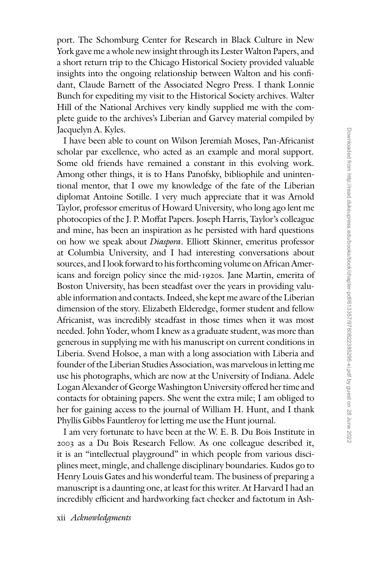port. The Schomburg Center for Research in Black Culture in New York gave me a whole new insight through its Lester Walton Papers, and a short return trip to the Chicago Historical Society provided valuable insights into the ongoing relationship between Walton and his confidant, Claude Barnett of the Associated Negro Press. I thank Lonnie Bunch for expediting my visit to the Historical Society archives. Walter Hill of the National Archives very kindly supplied me with the complete guide to the archives's Liberian and Garvey material compiled by Jacquelyn A. Kyles.

I have been able to count on Wilson Jeremiah Moses, Pan-Africanist scholar par excellence, who acted as an example and moral support. Some old friends have remained a constant in this evolving work. Among other things, it is to Hans Panofsky, bibliophile and unintentional mentor, that I owe my knowledge of the fate of the Liberian diplomat Antoine Sotille. I very much appreciate that it was Arnold Taylor, professor emeritus of Howard University, who long ago lent me photocopies of the J. P. Moffat Papers. Joseph Harris, Taylor's colleague and mine, has been an inspiration as he persisted with hard questions on how we speak about *Diaspora*. Elliott Skinner, emeritus professor at Columbia University, and I had interesting conversations about sources, and I look forward to his forthcoming volume on African Americans and foreign policy since the mid-1920s. Jane Martin, emerita of Boston University, has been steadfast over the years in providing valuable information and contacts. Indeed, she kept me aware of the Liberian dimension of the story. Elizabeth Elderedge, former student and fellow Africanist, was incredibly steadfast in those times when it was most needed. John Yoder, whom I knew as a graduate student, was more than generous in supplying me with his manuscript on current conditions in Liberia. Svend Holsoe, a man with a long association with Liberia and founder of the Liberian Studies Association, was marvelous in letting me use his photographs, which are now at the University of Indiana. Adele Logan Alexander of George Washington University offered her time and contacts for obtaining papers. She went the extra mile; I am obliged to her for gaining access to the journal of William H. Hunt, and I thank Phyllis Gibbs Fauntleroy for letting me use the Hunt journal.

I am very fortunate to have been at the W. E. B. Du Bois Institute in 2003 as a Du Bois Research Fellow. As one colleague described it, it is an ''intellectual playground'' in which people from various disciplines meet, mingle, and challenge disciplinary boundaries. Kudos go to Henry Louis Gates and his wonderful team. The business of preparing a manuscript is a daunting one, at least for this writer. At Harvard I had an incredibly efficient and hardworking fact checker and factotum in Ash-

xii *Acknowledgments*